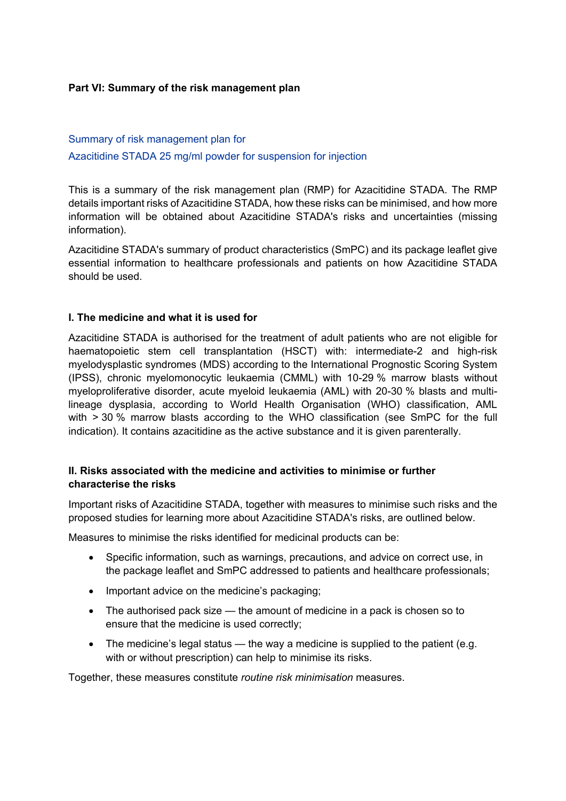#### **Part VI: Summary of the risk management plan**

## Summary of risk management plan for Azacitidine STADA 25 mg/ml powder for suspension for injection

This is a summary of the risk management plan (RMP) for Azacitidine STADA. The RMP details important risks of Azacitidine STADA, how these risks can be minimised, and how more information will be obtained about Azacitidine STADA's risks and uncertainties (missing information).

Azacitidine STADA's summary of product characteristics (SmPC) and its package leaflet give essential information to healthcare professionals and patients on how Azacitidine STADA should be used.

#### **I. The medicine and what it is used for**

Azacitidine STADA is authorised for the treatment of adult patients who are not eligible for haematopoietic stem cell transplantation (HSCT) with: intermediate-2 and high-risk myelodysplastic syndromes (MDS) according to the International Prognostic Scoring System (IPSS), chronic myelomonocytic leukaemia (CMML) with 10-29 % marrow blasts without myeloproliferative disorder, acute myeloid leukaemia (AML) with 20-30 % blasts and multilineage dysplasia, according to World Health Organisation (WHO) classification, AML with > 30 % marrow blasts according to the WHO classification (see SmPC for the full indication). It contains azacitidine as the active substance and it is given parenterally.

#### **II. Risks associated with the medicine and activities to minimise or further characterise the risks**

Important risks of Azacitidine STADA, together with measures to minimise such risks and the proposed studies for learning more about Azacitidine STADA's risks, are outlined below.

Measures to minimise the risks identified for medicinal products can be:

- Specific information, such as warnings, precautions, and advice on correct use, in the package leaflet and SmPC addressed to patients and healthcare professionals;
- Important advice on the medicine's packaging;
- The authorised pack size the amount of medicine in a pack is chosen so to ensure that the medicine is used correctly;
- The medicine's legal status  $-$  the way a medicine is supplied to the patient (e.g. with or without prescription) can help to minimise its risks.

Together, these measures constitute *routine risk minimisation* measures.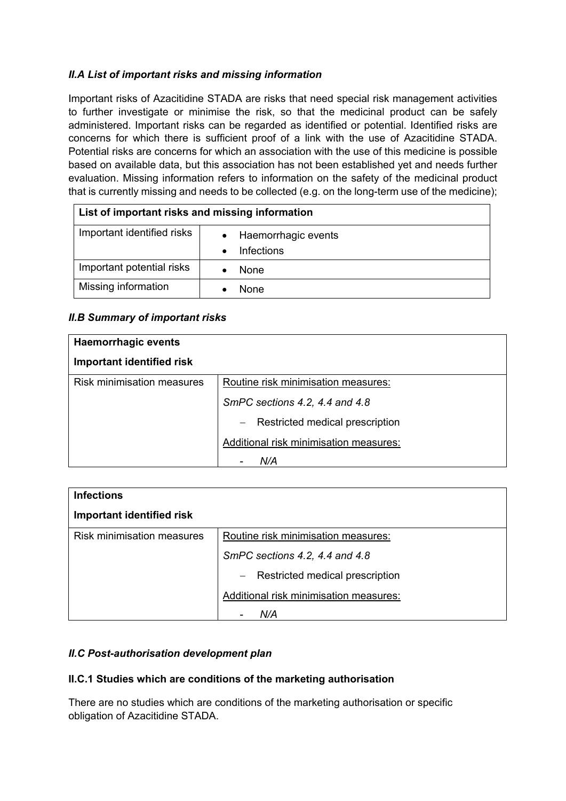## *II.A List of important risks and missing information*

Important risks of Azacitidine STADA are risks that need special risk management activities to further investigate or minimise the risk, so that the medicinal product can be safely administered. Important risks can be regarded as identified or potential. Identified risks are concerns for which there is sufficient proof of a link with the use of Azacitidine STADA. Potential risks are concerns for which an association with the use of this medicine is possible based on available data, but this association has not been established yet and needs further evaluation. Missing information refers to information on the safety of the medicinal product that is currently missing and needs to be collected (e.g. on the long-term use of the medicine);

| List of important risks and missing information |                                  |
|-------------------------------------------------|----------------------------------|
| Important identified risks                      | Haemorrhagic events<br>$\bullet$ |
|                                                 | Infections                       |
| Important potential risks                       | None                             |
| Missing information                             | None                             |

## *II.B Summary of important risks*

| <b>Haemorrhagic events</b>        |                                                                    |
|-----------------------------------|--------------------------------------------------------------------|
| Important identified risk         |                                                                    |
| <b>Risk minimisation measures</b> | Routine risk minimisation measures:                                |
|                                   | SmPC sections 4.2, 4.4 and 4.8                                     |
|                                   | Restricted medical prescription<br>$\hspace{0.1mm}-\hspace{0.1mm}$ |
|                                   | Additional risk minimisation measures:                             |
|                                   | N/A                                                                |

| <b>Infections</b>                 |                                                             |  |
|-----------------------------------|-------------------------------------------------------------|--|
| Important identified risk         |                                                             |  |
| <b>Risk minimisation measures</b> | Routine risk minimisation measures:                         |  |
|                                   | SmPC sections 4.2, 4.4 and 4.8                              |  |
|                                   | Restricted medical prescription<br>$\overline{\phantom{m}}$ |  |
|                                   | Additional risk minimisation measures:                      |  |
|                                   | N/A                                                         |  |

## *II.C Post-authorisation development plan*

## **II.C.1 Studies which are conditions of the marketing authorisation**

There are no studies which are conditions of the marketing authorisation or specific obligation of Azacitidine STADA.